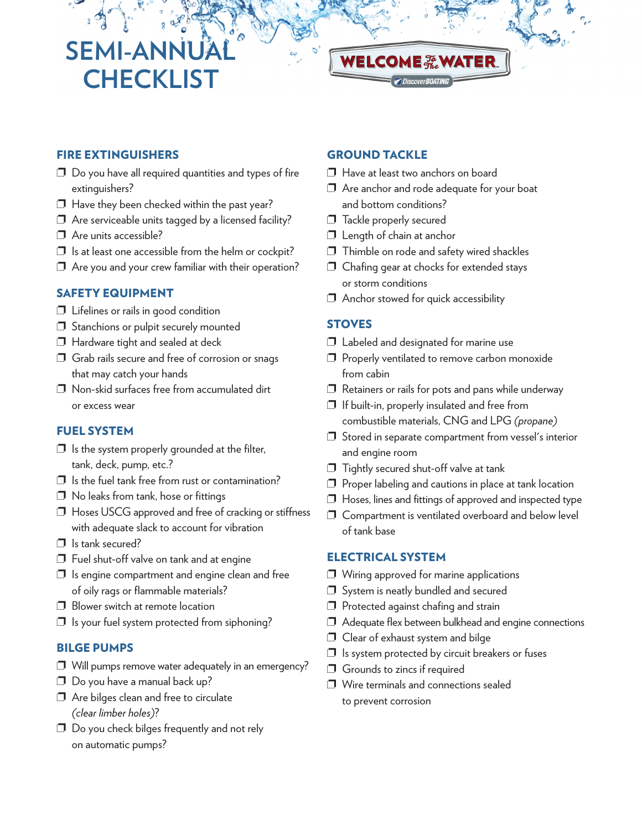# **SEMI-ANN CHECKLIST**



## **FIRE EXTINGUISHERS**

- $\square$  Do you have all required quantities and types of fire extinguishers?
- $\Box$  Have they been checked within the past year?
- $\square$  Are serviceable units tagged by a licensed facility?
- ❐ Are units accessible?
- $\square$  Is at least one accessible from the helm or cockpit?
- $\Box$  Are you and your crew familiar with their operation?

## **SAFETY EQUIPMENT**

- ❐ Lifelines or rails in good condition
- ❐ Stanchions or pulpit securely mounted
- ❐ Hardware tight and sealed at deck
- ❐ Grab rails secure and free of corrosion or snags that may catch your hands
- ❐ Non-skid surfaces free from accumulated dirt or excess wear

#### **FUEL SYSTEM**

- $\Box$  Is the system properly grounded at the filter, tank, deck, pump, etc.?
- $\Box$  Is the fuel tank free from rust or contamination?
- ❐ No leaks from tank, hose or fittings
- ❐ Hoses USCG approved and free of cracking or stiffness with adequate slack to account for vibration
- □ Is tank secured?
- ❐ Fuel shut-off valve on tank and at engine
- $\square$  Is engine compartment and engine clean and free of oily rags or flammable materials?
- ❐ Blower switch at remote location
- $\square$  Is your fuel system protected from siphoning?

## **BILGE PUMPS**

- ❐ Will pumps remove water adequately in an emergency?
- ❐ Do you have a manual back up?
- ❐ Are bilges clean and free to circulate *(clear limber holes)*?
- ❐ Do you check bilges frequently and not rely on automatic pumps?

### **GROUND TACKLE**

- ❐ Have at least two anchors on board
- ❐ Are anchor and rode adequate for your boat and bottom conditions?
- □ Tackle properly secured
- ❐ Length of chain at anchor
- ❐ Thimble on rode and safety wired shackles
- ❐ Chafing gear at chocks for extended stays or storm conditions
- ❐ Anchor stowed for quick accessibility

#### **STOVES**

- $\Box$  Labeled and designated for marine use
- ❐ Properly ventilated to remove carbon monoxide from cabin
- $\Box$  Retainers or rails for pots and pans while underway
- ❐ If built-in, properly insulated and free from combustible materials, CNG and LPG *(propane)*
- $\Box$  Stored in separate compartment from vessel's interior and engine room
- ❐ Tightly secured shut-off valve at tank
- ❐ Proper labeling and cautions in place at tank location
- ❐ Hoses, lines and fittings of approved and inspected type
- ❐ Compartment is ventilated overboard and below level of tank base

#### **ELECTRICAL SYSTEM**

- ❐ Wiring approved for marine applications
- ❐ System is neatly bundled and secured
- ❐ Protected against chafing and strain
- ❐ Adequate flex between bulkhead and engine connections
- ❐ Clear of exhaust system and bilge
- $\square$  Is system protected by circuit breakers or fuses
- □ Grounds to zincs if required
- ❐ Wire terminals and connections sealed to prevent corrosion